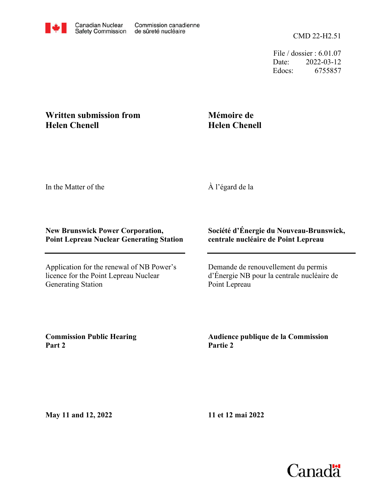File / dossier : 6.01.07 Date: 2022-03-12 Edocs: 6755857

## **Written submission from Helen Chenell**

## **Mémoire de Helen Chenell**

In the Matter of the

À l'égard de la

## **New Brunswick Power Corporation, Point Lepreau Nuclear Generating Station**

Application for the renewal of NB Power's licence for the Point Lepreau Nuclear Generating Station

## **Société d'Énergie du Nouveau-Brunswick, centrale nucléaire de Point Lepreau**

Demande de renouvellement du permis d'Énergie NB pour la centrale nucléaire de Point Lepreau

**Commission Public Hearing Part 2**

**Audience publique de la Commission Partie 2**

**May 11 and 12, 2022**

**11 et 12 mai 2022**